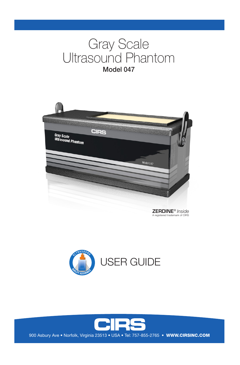# Gray Scale Ultrasound Phantom Model 047



ZERDINE® *Inside* A registered trademark of CIRS



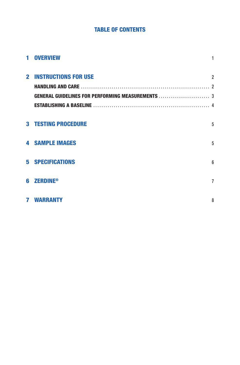### **TABLE OF CONTENTS**

| 1 OVERVIEW                    | 1               |
|-------------------------------|-----------------|
| <b>2 INSTRUCTIONS FOR USE</b> | $\overline{2}$  |
|                               |                 |
|                               |                 |
|                               |                 |
| <b>3 TESTING PROCEDURE</b>    | 5               |
| <b>4 SAMPLE IMAGES</b>        | 5               |
| <b>5 SPECIFICATIONS</b>       | $6\overline{6}$ |
| <b>6 ZERDINE®</b>             | $\overline{7}$  |
| <b>7 WARRANTY</b>             | 8               |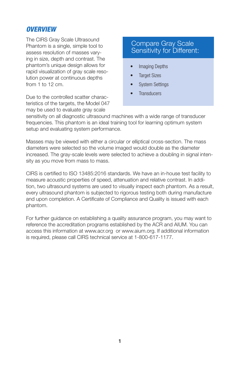### *OVERVIEW*

The CIRS Gray Scale Ultrasound Phantom is a single, simple tool to assess resolution of masses varying in size, depth and contrast. The phantom's unique design allows for rapid visualization of gray scale resolution power at continuous depths from 1 to 12 cm.

Due to the controlled scatter characteristics of the targets, the Model 047 may be used to evaluate gray scale

### Compare Gray Scale Sensitivity for Different:

- Imaging Depths
- **Target Sizes**
- **System Settings**
- **Transducers**

sensitivity on all diagnostic ultrasound machines with a wide range of transducer frequencies. This phantom is an ideal training tool for learning optimum system setup and evaluating system performance.

Masses may be viewed with either a circular or elliptical cross-section. The mass diameters were selected so the volume imaged would double as the diameter increased. The gray-scale levels were selected to achieve a doubling in signal intensity as you move from mass to mass.

CIRS is certified to ISO 13485:2016 standards. We have an in-house test facility to measure acoustic properties of speed, attenuation and relative contrast. In addition, two ultrasound systems are used to visually inspect each phantom. As a result, every ultrasound phantom is subjected to rigorous testing both during manufacture and upon completion. A Certificate of Compliance and Quality is issued with each phantom.

For further guidance on establishing a quality assurance program, you may want to reference the accreditation programs established by the ACR and AIUM. You can access this information at www.acr.org or www.aium.org. If additional information is required, please call CIRS technical service at 1-800-617-1177.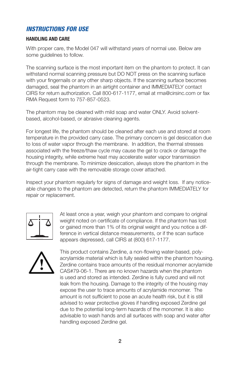### *INSTRUCTIONS FOR USE*

#### **HANDLING AND CARE**

With proper care, the Model 047 will withstand years of normal use. Below are some guidelines to follow.

The scanning surface is the most important item on the phantom to protect. It can withstand normal scanning pressure but DO NOT press on the scanning surface with your fingernails or any other sharp objects. If the scanning surface becomes damaged, seal the phantom in an airtight container and IMMEDIATELY contact CIRS for return authorization. Call 800-617-1177, email at rma@cirsinc.com or fax RMA Request form to 757-857-0523.

The phantom may be cleaned with mild soap and water ONLY. Avoid solventbased, alcohol-based, or abrasive cleaning agents.

For longest life, the phantom should be cleaned after each use and stored at room temperature in the provided carry case. The primary concern is gel desiccation due to loss of water vapor through the membrane. In addition, the thermal stresses associated with the freeze/thaw cycle may cause the gel to crack or damage the housing integrity, while extreme heat may accelerate water vapor transmission through the membrane. To minimize desiccation, always store the phantom in the air-tight carry case with the removable storage cover attached.

Inspect your phantom regularly for signs of damage and weight loss. If any noticeable changes to the phantom are detected, return the phantom IMMEDIATELY for repair or replacement.



At least once a year, weigh your phantom and compare to original weight noted on certificate of compliance. If the phantom has lost or gained more than 1% of its original weight and you notice a difference in vertical distance measurements, or if the scan surface appears depressed, call CIRS at (800) 617-1177.



This product contains Zerdine, a non-flowing water-based, polyacrylamide material which is fully sealed within the phantom housing. Zerdine contains trace amounts of the residual monomer acrylamide CAS#79-06-1. There are no known hazards when the phantom is used and stored as intended. Zerdine is fully cured and will not leak from the housing. Damage to the integrity of the housing may expose the user to trace amounts of acrylamide monomer. The amount is not sufficient to pose an acute health risk, but it is still advised to wear protective gloves if handling exposed Zerdine gel due to the potential long-term hazards of the monomer. It is also advisable to wash hands and all surfaces with soap and water after handling exposed Zerdine gel.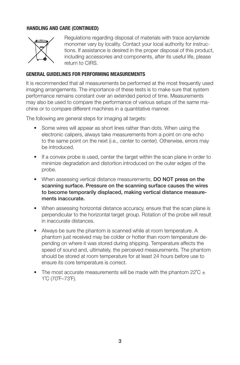### **HANDLING AND CARE (CONTINUED)**



Regulations regarding disposal of materials with trace acrylamide monomer vary by locality. Contact your local authority for instructions. If assistance is desired in the proper disposal of this product, including accessories and components, after its useful life, please return to CIRS.

### **GENERAL GUIDELINES FOR PERFORMING MEASUREMENTS**

It is recommended that all measurements be performed at the most frequently used imaging arrangements. The importance of these tests is to make sure that system performance remains constant over an extended period of time. Measurements may also be used to compare the performance of various setups of the same machine or to compare different machines in a quantitative manner.

The following are general steps for imaging all targets:

- Some wires will appear as short lines rather than dots. When using the electronic calipers, always take measurements from a point on one echo to the same point on the next (i.e., center to center). Otherwise, errors may be introduced.
- If a convex probe is used, center the target within the scan plane in order to minimize degradation and distortion introduced on the outer edges of the probe.
- When assessing vertical distance measurements, DO NOT press on the scanning surface. Pressure on the scanning surface causes the wires to become temporarily displaced, making vertical distance measurements inaccurate.
- When assessing horizontal distance accuracy, ensure that the scan plane is perpendicular to the horizontal target group. Rotation of the probe will result in inaccurate distances.
- Always be sure the phantom is scanned while at room temperature. A phantom just received may be colder or hotter than room temperature depending on where it was stored during shipping. Temperature affects the speed of sound and, ultimately, the perceived measurements. The phantom should be stored at room temperature for at least 24 hours before use to ensure its core temperature is correct.
- The most accurate measurements will be made with the phantom  $22^{\circ}$ C  $\pm$ 1˚C (70˚F–73˚F).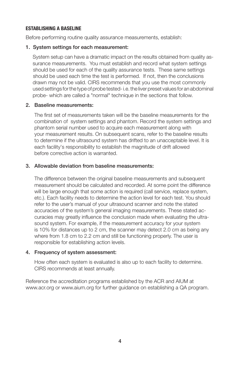### **ESTABLISHING A BASELINE**

Before performing routine quality assurance measurements, establish:

#### 1. System settings for each measurement:

System setup can have a dramatic impact on the results obtained from quality assurance measurements. You must establish and record what system settings should be used for each of the quality assurance tests. These same settings should be used each time the test is performed. If not, then the conclusions drawn may not be valid. CIRS recommends that you use the most commonly used settings for the type of probe tested- i.e. the liver preset values for an abdominal probe- which are called a "normal" technique in the sections that follow.

### 2. Baseline measurements:

The first set of measurements taken will be the baseline measurements for the combination of system settings and phantom. Record the system settings and phantom serial number used to acquire each measurement along with your measurement results. On subsequent scans, refer to the baseline results to determine if the ultrasound system has drifted to an unacceptable level. It is each facility's responsibility to establish the magnitude of drift allowed before corrective action is warranted.

#### 3. Allowable deviation from baseline measurements:

The difference between the original baseline measurements and subsequent measurement should be calculated and recorded. At some point the difference will be large enough that some action is required (call service, replace system, etc.). Each facility needs to determine the action level for each test. You should refer to the user's manual of your ultrasound scanner and note the stated accuracies of the system's general imaging measurements. These stated accuracies may greatly influence the conclusion made when evaluating the ultrasound system. For example, if the measurement accuracy for your system is 10% for distances up to 2 cm, the scanner may detect 2.0 cm as being any where from 1.8 cm to 2.2 cm and still be functioning properly. The user is responsible for establishing action levels.

#### 4. Frequency of system assessment:

 How often each system is evaluated is also up to each facility to determine. CIRS recommends at least annually.

Reference the accreditation programs established by the ACR and AIUM at www.acr.org or www.aium.org for further guidance on establishing a QA program.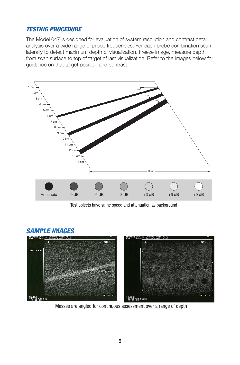### *TESTING PROCEDURE*

The Model 047 is designed for evaluation of system resolution and contrast detail analysis over a wide range of probe frequencies. For each probe combination scan laterally to detect maximum depth of visualization. Freeze image, measure depth from scan surface to top of target of last visualization. Refer to the images below for guidance on that target position and contrast.



Test objects have same speed and attenuation as background

## *SAMPLE IMAGES* HITACHI BG:-12 DYN:70 P:2/1/1/E<br>PWR:L FR:11 SCC:6 49mm 7.5N aas 2MM, +9DB NO.21/3 **ID:HLM**<br>'03/05/22 F46 ID:HLM<br>'03/05/22 F1357<br>'12:57:47

Masses are angled for continuous assessment over a range of depth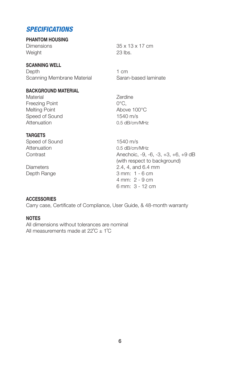### *SPECIFICATIONS*

### **PHANTOM HOUSING**

Dimensions 35 x 13 x 17 cm Weight 23 lbs.

### **SCANNING WELL**

Depth 1 cm Scanning Membrane Material Saran-based laminate

#### **BACKGROUND MATERIAL**

Material **Material** Zerdine Freezing Point **COULD COULD** COULD COULD BE A VIOLENCE. Melting Point **Above 100°C** Speed of Sound 1540 m/s Attenuation 0.5 dB/cm/MHz

### **TARGETS**

Speed of Sound 1540 m/s Attenuation 0.5 dB/cm/MHz

Contrast **Anechoic, -9, -6, -3, +3, +6, +9 dB** (with respect to background) Diameters 2.4, 4, and 6.4 mm Depth Range 3 mm: 1 - 6 cm 4 mm: 2 - 9 cm 6 mm: 3 - 12 cm

### **ACCESSORIES**

Carry case, Certificate of Compliance, User Guide, & 48-month warranty

### **NOTES**

All dimensions without tolerances are nominal All measurements made at  $22^{\circ}C \pm 1^{\circ}C$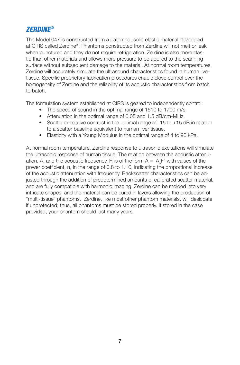### *ZERDINE®*

The Model 047 is constructed from a patented, solid elastic material developed at CIRS called Zerdine®. Phantoms constructed from Zerdine will not melt or leak when punctured and they do not require refrigeration. Zerdine is also more elastic than other materials and allows more pressure to be applied to the scanning surface without subsequent damage to the material. At normal room temperatures, Zerdine will accurately simulate the ultrasound characteristics found in human liver tissue. Specific proprietary fabrication procedures enable close control over the homogeneity of Zerdine and the reliability of its acoustic characteristics from batch to batch.

The formulation system established at CIRS is geared to independently control:

- The speed of sound in the optimal range of 1510 to 1700 m/s.
- Attenuation in the optimal range of 0.05 and 1.5 dB/cm-MHz.
- Scatter or relative contrast in the optimal range of -15 to +15 dB in relation to a scatter baseline equivalent to human liver tissue.
- Elasticity with a Young Modulus in the optimal range of 4 to 90 kPa.

At normal room temperature, Zerdine response to ultrasonic excitations will simulate the ultrasonic response of human tissue. The relation between the acoustic attenuation, A, and the acoustic frequency, F, is of the form  $A = A_{\circ}F^n$  with values of the power coefficient, n, in the range of 0.8 to 1.10, indicating the proportional increase of the acoustic attenuation with frequency. Backscatter characteristics can be adjusted through the addition of predetermined amounts of calibrated scatter material, and are fully compatible with harmonic imaging. Zerdine can be molded into very intricate shapes, and the material can be cured in layers allowing the production of "multi-tissue" phantoms. Zerdine, like most other phantom materials, will desiccate if unprotected; thus, all phantoms must be stored properly. If stored in the case provided, your phantom should last many years.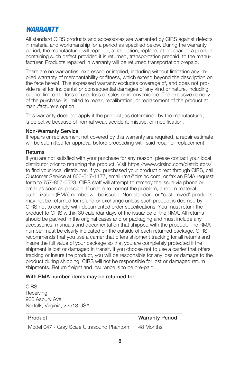### *WARRANTY*

All standard CIRS products and accessories are warranted by CIRS against defects in material and workmanship for a period as specified below. During the warranty period, the manufacturer will repair or, at its option, replace, at no charge, a product containing such defect provided it is returned, transportation prepaid, to the manufacturer. Products repaired in warranty will be returned transportation prepaid.

There are no warranties, expressed or implied, including without limitation any implied warranty of merchantability or fitness, which extend beyond the description on the face hereof. This expressed warranty excludes coverage of, and does not provide relief for, incidental or consequential damages of any kind or nature, including but not limited to loss of use, loss of sales or inconvenience. The exclusive remedy of the purchaser is limited to repair, recalibration, or replacement of the product at manufacturer's option.

This warranty does not apply if the product, as determined by the manufacturer, is defective because of normal wear, accident, misuse, or modification.

### Non-Warranty Service

If repairs or replacement not covered by this warranty are required, a repair estimate will be submitted for approval before proceeding with said repair or replacement.

#### **Returns**

If you are not satisfied with your purchase for any reason, please contact your local distributor prior to returning the product. Visit https://www.cirsinc.com/distributors/ to find your local distributor. If you purchased your product direct through CIRS, call Customer Service at 800-617-1177, email rma@cirsinc.com, or fax an RMA request form to 757-857-0523. CIRS staff will attempt to remedy the issue via phone or email as soon as possible. If unable to correct the problem, a return material authorization (RMA) number will be issued. Non-standard or "customized" products may not be returned for refund or exchange unless such product is deemed by CIRS not to comply with documented order specifications. You must return the product to CIRS within 30 calendar days of the issuance of the RMA. All returns should be packed in the original cases and or packaging and must include any accessories, manuals and documentation that shipped with the product. The RMA number must be clearly indicated on the outside of each returned package. CIRS recommends that you use a carrier that offers shipment tracking for all returns and insure the full value of your package so that you are completely protected if the shipment is lost or damaged in transit. If you choose not to use a carrier that offers tracking or insure the product, you will be responsible for any loss or damage to the product during shipping. CIRS will not be responsible for lost or damaged return shipments. Return freight and insurance is to be pre-paid.

#### With RMA number, items may be returned to:

**CIRS Receiving** 900 Asbury Ave, Norfolk, Virginia, 23513 USA

| Product                                   | <b>Warranty Period</b> |
|-------------------------------------------|------------------------|
| Model 047 - Gray Scale Ultrasound Phantom | 48 Months              |